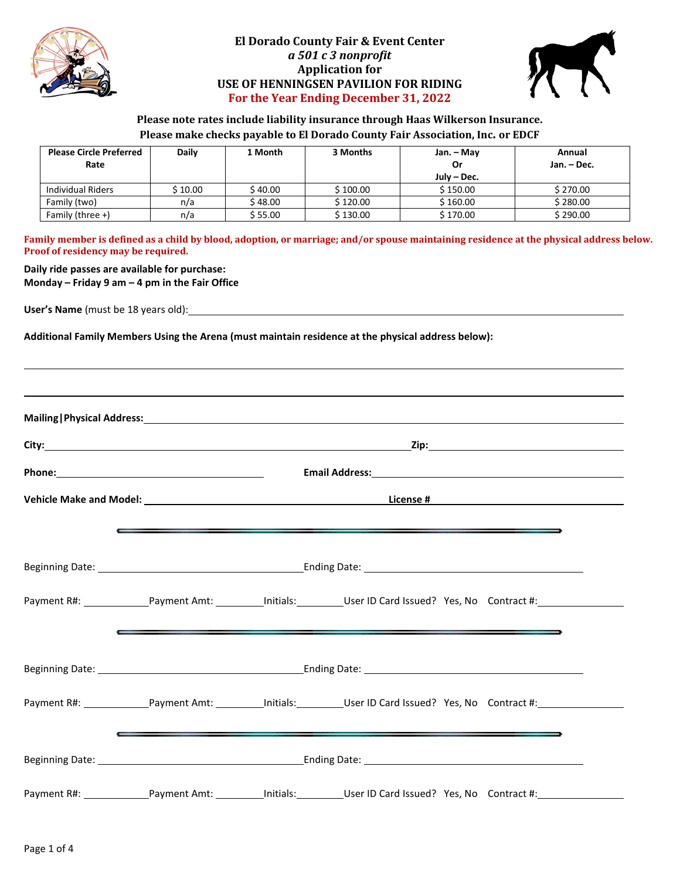

#### **El Dorado County Fair & Event Center** *a 501 c 3 nonprofit* **Application for USE OF HENNINGSEN PAVILION FOR RIDING For the Year Ending December 31, 2022**



#### **Please note rates include liability insurance through Haas Wilkerson Insurance. Please make checks payable to El Dorado County Fair Association, Inc. or EDCF**

| <b>Please Circle Preferred</b><br>Rate | Daily   | 1 Month  | 3 Months | Jan. – May<br>Or<br>July – Dec. | Annual<br>Jan. - Dec. |
|----------------------------------------|---------|----------|----------|---------------------------------|-----------------------|
| Individual Riders                      | S 10.00 | \$ 40.00 | S 100.00 | \$150.00                        | \$270.00              |
| Family (two)                           | n/a     | \$ 48.00 | \$120.00 | \$160.00                        | \$280.00              |
| Family (three $+$ )                    | n/a     | \$ 55.00 | \$130.00 | \$170.00                        | \$290.00              |

**Family member is defined as a child by blood, adoption, or marriage; and/or spouse maintaining residence at the physical address below. Proof of residency may be required.**

# **Daily ride passes are available for purchase:**

**Monday – Friday 9 am – 4 pm in the Fair Office**

**User's Name** (must be 18 years old):

**Additional Family Members Using the Arena (must maintain residence at the physical address below):**

|                                                                                                                                                                                                                                            |  | $\overline{\phantom{a}}$ , and the contract of the contract of the contract of the contract of the contract of the contract of the contract of the contract of the contract of the contract of the contract of the contract of the contrac                                                                                          |  |  |  |  |
|--------------------------------------------------------------------------------------------------------------------------------------------------------------------------------------------------------------------------------------------|--|-------------------------------------------------------------------------------------------------------------------------------------------------------------------------------------------------------------------------------------------------------------------------------------------------------------------------------------|--|--|--|--|
|                                                                                                                                                                                                                                            |  |                                                                                                                                                                                                                                                                                                                                     |  |  |  |  |
|                                                                                                                                                                                                                                            |  | Payment R#: Payment Amt: 1997 [1] Limitials: User ID Card Issued? Yes, No Contract #:<br>$\overline{\phantom{a}}$ , and the state of the state of the state of the state of the state of the state of the state of the state of the state of the state of the state of the state of the state of the state of the state of the stat |  |  |  |  |
|                                                                                                                                                                                                                                            |  |                                                                                                                                                                                                                                                                                                                                     |  |  |  |  |
|                                                                                                                                                                                                                                            |  | Payment R#: Payment Amt: Payment Amt: Phitials: User ID Card Issued? Yes, No Contract #:                                                                                                                                                                                                                                            |  |  |  |  |
| $\overline{\phantom{a}}$ , and the contract of the contract of the contract of the contract of the contract of the contract of the contract of the contract of the contract of the contract of the contract of the contract of the contrac |  |                                                                                                                                                                                                                                                                                                                                     |  |  |  |  |
|                                                                                                                                                                                                                                            |  | Payment R#: Payment Amt: Initials: User ID Card Issued? Yes, No Contract #:                                                                                                                                                                                                                                                         |  |  |  |  |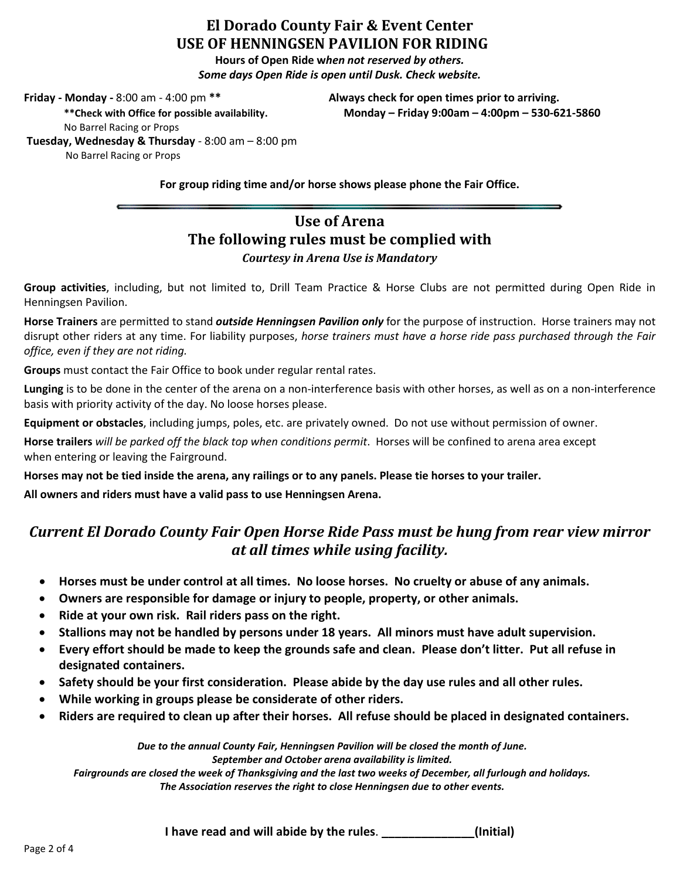# **El Dorado County Fair & Event Center USE OF HENNINGSEN PAVILION FOR RIDING**

**Hours of Open Ride w***hen not reserved by others. Some days Open Ride is open until Dusk. Check website.*

**Friday - Monday -** 8:00 am - 4:00 pm **\*\* Always check for open times prior to arriving.**

**\*\*Check with Office for possible availability. Monday – Friday 9:00am – 4:00pm – 530-621-5860**

No Barrel Racing or Props **Tuesday, Wednesday & Thursday** - 8:00 am – 8:00 pm No Barrel Racing or Props

**For group riding time and/or horse shows please phone the Fair Office.**

# **Use of Arena The following rules must be complied with** *Courtesy in Arena Use is Mandatory*

**Group activities**, including, but not limited to, Drill Team Practice & Horse Clubs are not permitted during Open Ride in Henningsen Pavilion.

**Horse Trainers** are permitted to stand *outside Henningsen Pavilion only* for the purpose of instruction. Horse trainers may not disrupt other riders at any time. For liability purposes, *horse trainers must have a horse ride pass purchased through the Fair office, even if they are not riding.*

**Groups** must contact the Fair Office to book under regular rental rates.

**Lunging** is to be done in the center of the arena on a non-interference basis with other horses, as well as on a non-interference basis with priority activity of the day. No loose horses please.

**Equipment or obstacles**, including jumps, poles, etc. are privately owned. Do not use without permission of owner.

**Horse trailers** *will be parked off the black top when conditions permit*. Horses will be confined to arena area except when entering or leaving the Fairground.

**Horses may not be tied inside the arena, any railings or to any panels. Please tie horses to your trailer.**

**All owners and riders must have a valid pass to use Henningsen Arena.**

# *Current El Dorado County Fair Open Horse Ride Pass must be hung from rear view mirror at all times while using facility.*

- **Horses must be under control at all times. No loose horses. No cruelty or abuse of any animals.**
- **Owners are responsible for damage or injury to people, property, or other animals.**
- **Ride at your own risk. Rail riders pass on the right.**
- **Stallions may not be handled by persons under 18 years. All minors must have adult supervision.**
- **Every effort should be made to keep the grounds safe and clean. Please don't litter. Put all refuse in designated containers.**
- **Safety should be your first consideration. Please abide by the day use rules and all other rules.**
- **While working in groups please be considerate of other riders.**
- **Riders are required to clean up after their horses. All refuse should be placed in designated containers.**

*Due to the annual County Fair, Henningsen Pavilion will be closed the month of June. September and October arena availability is limited.*

*Fairgrounds are closed the week of Thanksgiving and the last two weeks of December, all furlough and holidays. The Association reserves the right to close Henningsen due to other events.*

**I have read and will abide by the rules**. **\_\_\_\_\_\_\_\_\_\_\_\_\_\_(Initial)**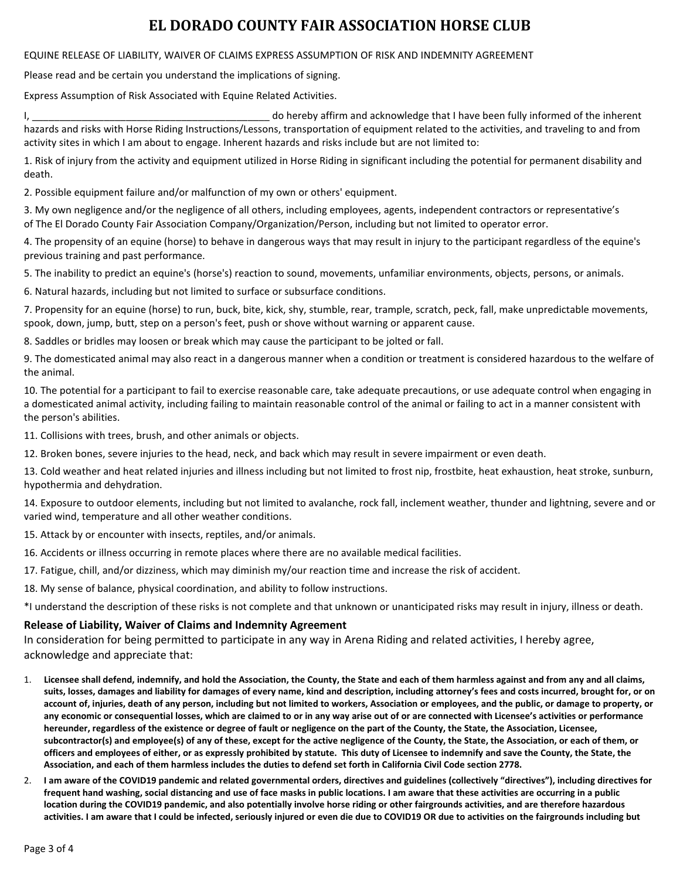# **EL DORADO COUNTY FAIR ASSOCIATION HORSE CLUB**

#### EQUINE RELEASE OF LIABILITY, WAIVER OF CLAIMS EXPRESS ASSUMPTION OF RISK AND INDEMNITY AGREEMENT

Please read and be certain you understand the implications of signing.

Express Assumption of Risk Associated with Equine Related Activities.

I, the contract of the inherent domestion and acknowledge that I have been fully informed of the inherent hazards and risks with Horse Riding Instructions/Lessons, transportation of equipment related to the activities, and traveling to and from activity sites in which I am about to engage. Inherent hazards and risks include but are not limited to:

1. Risk of injury from the activity and equipment utilized in Horse Riding in significant including the potential for permanent disability and death.

2. Possible equipment failure and/or malfunction of my own or others' equipment.

3. My own negligence and/or the negligence of all others, including employees, agents, independent contractors or representative's of The El Dorado County Fair Association Company/Organization/Person, including but not limited to operator error.

4. The propensity of an equine (horse) to behave in dangerous ways that may result in injury to the participant regardless of the equine's previous training and past performance.

5. The inability to predict an equine's (horse's) reaction to sound, movements, unfamiliar environments, objects, persons, or animals.

6. Natural hazards, including but not limited to surface or subsurface conditions.

7. Propensity for an equine (horse) to run, buck, bite, kick, shy, stumble, rear, trample, scratch, peck, fall, make unpredictable movements, spook, down, jump, butt, step on a person's feet, push or shove without warning or apparent cause.

8. Saddles or bridles may loosen or break which may cause the participant to be jolted or fall.

9. The domesticated animal may also react in a dangerous manner when a condition or treatment is considered hazardous to the welfare of the animal.

10. The potential for a participant to fail to exercise reasonable care, take adequate precautions, or use adequate control when engaging in a domesticated animal activity, including failing to maintain reasonable control of the animal or failing to act in a manner consistent with the person's abilities.

11. Collisions with trees, brush, and other animals or objects.

12. Broken bones, severe injuries to the head, neck, and back which may result in severe impairment or even death.

13. Cold weather and heat related injuries and illness including but not limited to frost nip, frostbite, heat exhaustion, heat stroke, sunburn, hypothermia and dehydration.

14. Exposure to outdoor elements, including but not limited to avalanche, rock fall, inclement weather, thunder and lightning, severe and or varied wind, temperature and all other weather conditions.

15. Attack by or encounter with insects, reptiles, and/or animals.

16. Accidents or illness occurring in remote places where there are no available medical facilities.

17. Fatigue, chill, and/or dizziness, which may diminish my/our reaction time and increase the risk of accident.

18. My sense of balance, physical coordination, and ability to follow instructions.

\*I understand the description of these risks is not complete and that unknown or unanticipated risks may result in injury, illness or death.

#### **Release of Liability, Waiver of Claims and Indemnity Agreement**

In consideration for being permitted to participate in any way in Arena Riding and related activities, I hereby agree, acknowledge and appreciate that:

- 1. **Licensee shall defend, indemnify, and hold the Association, the County, the State and each of them harmless against and from any and all claims, suits, losses, damages and liability for damages of every name, kind and description, including attorney's fees and costs incurred, brought for, or on account of, injuries, death of any person, including but not limited to workers, Association or employees, and the public, or damage to property, or any economic or consequential losses, which are claimed to or in any way arise out of or are connected with Licensee's activities or performance hereunder, regardless of the existence or degree of fault or negligence on the part of the County, the State, the Association, Licensee, subcontractor(s) and employee(s) of any of these, except for the active negligence of the County, the State, the Association, or each of them, or officers and employees of either, or as expressly prohibited by statute. This duty of Licensee to indemnify and save the County, the State, the Association, and each of them harmless includes the duties to defend set forth in California Civil Code section 2778.**
- 2. **I am aware of the COVID19 pandemic and related governmental orders, directives and guidelines (collectively "directives"), including directives for frequent hand washing, social distancing and use of face masks in public locations. I am aware that these activities are occurring in a public location during the COVID19 pandemic, and also potentially involve horse riding or other fairgrounds activities, and are therefore hazardous activities. I am aware that I could be infected, seriously injured or even die due to COVID19 OR due to activities on the fairgrounds including but**